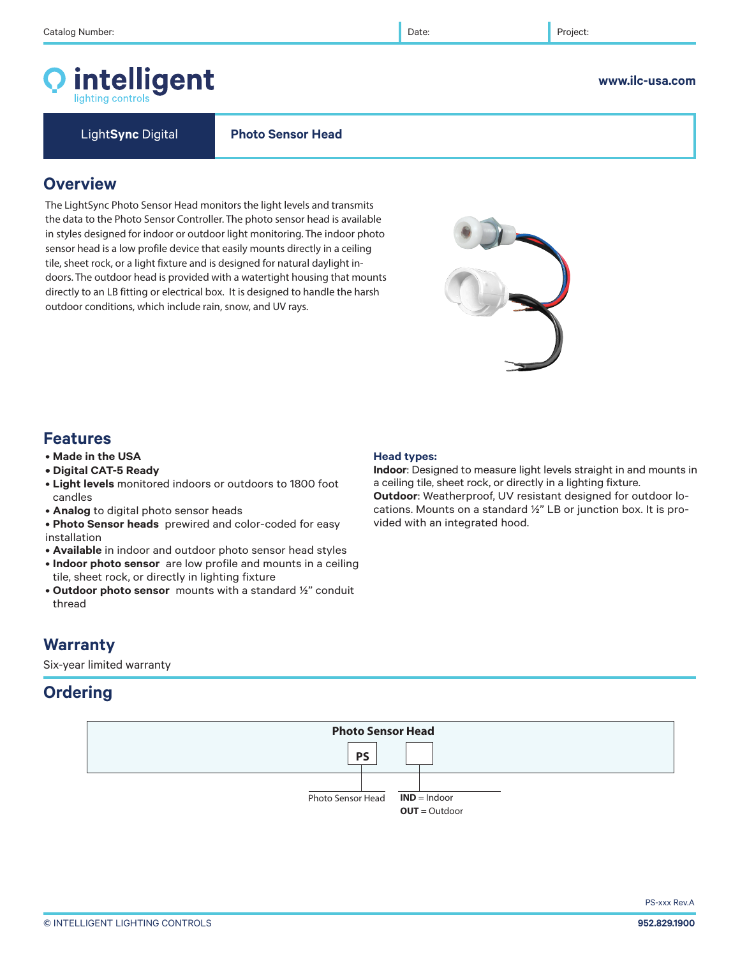**Overview**

## © INTELLIGENT LIGHTING CONTROLS **952.829.1900**

# **Features**

**Warranty**

Six-year limited warranty

**Ordering**

- **Made in the USA**
- **Digital CAT-5 Ready**
- **Light levels** monitored indoors or outdoors to 1800 foot candles
- **Analog** to digital photo sensor heads
- **Photo Sensor heads** prewired and color-coded for easy installation
- **Available** in indoor and outdoor photo sensor head styles
- **Indoor photo sensor** are low profile and mounts in a ceiling tile, sheet rock, or directly in lighting fixture
- **Outdoor photo sensor** mounts with a standard ½" conduit thread

## **Head types:**

**IND** = Indoor **OUT** = Outdoor

Photo Sensor Head

**PS**

**Photo Sensor Head**

**Indoor**: Designed to measure light levels straight in and mounts in a ceiling tile, sheet rock, or directly in a lighting fixture. **Outdoor**: Weatherproof, UV resistant designed for outdoor locations. Mounts on a standard ½" LB or junction box. It is provided with an integrated hood.

intelligent

The LightSync Photo Sensor Head monitors the light levels and transmits the data to the Photo Sensor Controller. The photo sensor head is available in styles designed for indoor or outdoor light monitoring. The indoor photo sensor head is a low profile device that easily mounts directly in a ceiling tile, sheet rock, or a light fixture and is designed for natural daylight indoors. The outdoor head is provided with a watertight housing that mounts directly to an LB fitting or electrical box. It is designed to handle the harsh outdoor conditions, which include rain, snow, and UV rays.

Light**Sync** Digital **Photo Sensor Head**



## **www.ilc-usa.com**